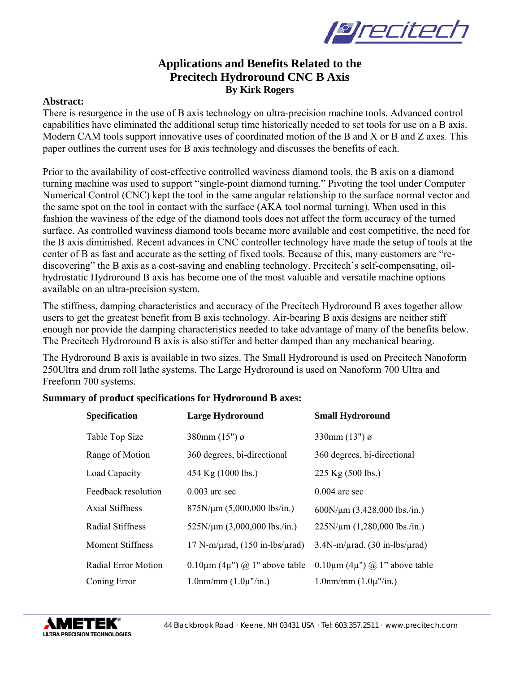

## **Applications and Benefits Related to the Precitech Hydroround CNC B Axis By Kirk Rogers**

#### **Abstract:**

There is resurgence in the use of B axis technology on ultra-precision machine tools. Advanced control capabilities have eliminated the additional setup time historically needed to set tools for use on a B axis. Modern CAM tools support innovative uses of coordinated motion of the B and X or B and Z axes. This paper outlines the current uses for B axis technology and discusses the benefits of each.

Prior to the availability of cost-effective controlled waviness diamond tools, the B axis on a diamond turning machine was used to support "single-point diamond turning." Pivoting the tool under Computer Numerical Control (CNC) kept the tool in the same angular relationship to the surface normal vector and the same spot on the tool in contact with the surface (AKA tool normal turning). When used in this fashion the waviness of the edge of the diamond tools does not affect the form accuracy of the turned surface. As controlled waviness diamond tools became more available and cost competitive, the need for the B axis diminished. Recent advances in CNC controller technology have made the setup of tools at the center of B as fast and accurate as the setting of fixed tools. Because of this, many customers are "rediscovering" the B axis as a cost-saving and enabling technology. Precitech's self-compensating, oilhydrostatic Hydroround B axis has become one of the most valuable and versatile machine options available on an ultra-precision system.

The stiffness, damping characteristics and accuracy of the Precitech Hydroround B axes together allow users to get the greatest benefit from B axis technology. Air-bearing B axis designs are neither stiff enough nor provide the damping characteristics needed to take advantage of many of the benefits below. The Precitech Hydroround B axis is also stiffer and better damped than any mechanical bearing.

The Hydroround B axis is available in two sizes. The Small Hydroround is used on Precitech Nanoform 250Ultra and drum roll lathe systems. The Large Hydroround is used on Nanoform 700 Ultra and Freeform 700 systems.

#### **Summary of product specifications for Hydroround B axes:**

| <b>Specification</b>    | <b>Large Hydroround</b>                          | <b>Small Hydroround</b>                          |
|-------------------------|--------------------------------------------------|--------------------------------------------------|
| Table Top Size          | 380mm $(15")$ ø                                  | 330mm $(13")$ ø                                  |
| Range of Motion         | 360 degrees, bi-directional                      | 360 degrees, bi-directional                      |
| Load Capacity           | 454 Kg (1000 lbs.)                               | 225 Kg (500 lbs.)                                |
| Feedback resolution     | $0.003$ arc sec                                  | $0.004$ arc sec                                  |
| <b>Axial Stiffness</b>  | 875N/µm (5,000,000 lbs/in.)                      | $600N/\mu m$ (3,428,000 lbs./in.)                |
| Radial Stiffness        | $525N/\mu m$ (3,000,000 lbs./in.)                | $225N/\mu m$ (1,280,000 lbs./in.)                |
| <b>Moment Stiffness</b> | $17$ N-m/ $\mu$ rad, $(150$ in-lbs/ $\mu$ rad)   | $3.4N$ -m/ $\mu$ rad. (30 in-lbs/ $\mu$ rad)     |
| Radial Error Motion     | $0.10 \mu m$ (4 $\mu$ ") $\omega$ 1" above table | $0.10 \mu m$ (4 $\mu$ ") $\omega$ 1" above table |
| Coning Error            | $1.0$ nm/mm $(1.0\mu$ "/in.)                     | $1.0$ nm/mm $(1.0\mu$ "/in.)                     |

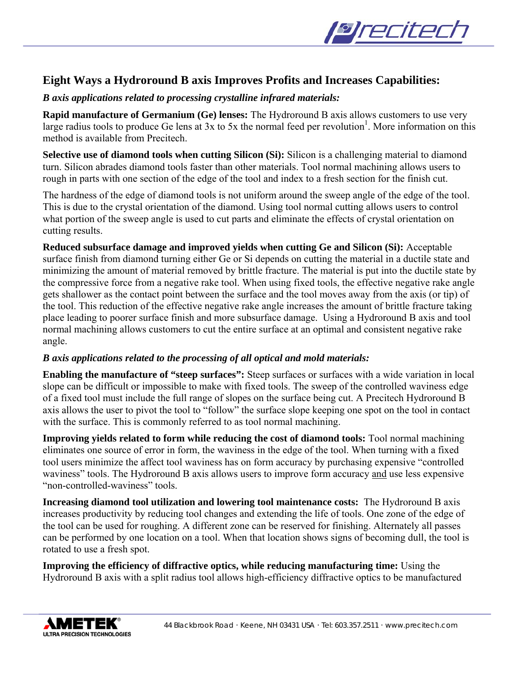

# **Eight Ways a Hydroround B axis Improves Profits and Increases Capabilities:**

## *B axis applications related to processing crystalline infrared materials:*

**Rapid manufacture of Germanium (Ge) lenses:** The Hydroround B axis allows customers to use very large radius tools to produce Ge lens at  $3x$  to  $5x$  the normal feed per revolution<sup>1</sup>. More information on this method is available from Precitech.

**Selective use of diamond tools when cutting Silicon (Si):** Silicon is a challenging material to diamond turn. Silicon abrades diamond tools faster than other materials. Tool normal machining allows users to rough in parts with one section of the edge of the tool and index to a fresh section for the finish cut.

The hardness of the edge of diamond tools is not uniform around the sweep angle of the edge of the tool. This is due to the crystal orientation of the diamond. Using tool normal cutting allows users to control what portion of the sweep angle is used to cut parts and eliminate the effects of crystal orientation on cutting results.

**Reduced subsurface damage and improved yields when cutting Ge and Silicon (Si):** Acceptable surface finish from diamond turning either Ge or Si depends on cutting the material in a ductile state and minimizing the amount of material removed by brittle fracture. The material is put into the ductile state by the compressive force from a negative rake tool. When using fixed tools, the effective negative rake angle gets shallower as the contact point between the surface and the tool moves away from the axis (or tip) of the tool. This reduction of the effective negative rake angle increases the amount of brittle fracture taking place leading to poorer surface finish and more subsurface damage. Using a Hydroround B axis and tool normal machining allows customers to cut the entire surface at an optimal and consistent negative rake angle.

### *B axis applications related to the processing of all optical and mold materials:*

**Enabling the manufacture of "steep surfaces":** Steep surfaces or surfaces with a wide variation in local slope can be difficult or impossible to make with fixed tools. The sweep of the controlled waviness edge of a fixed tool must include the full range of slopes on the surface being cut. A Precitech Hydroround B axis allows the user to pivot the tool to "follow" the surface slope keeping one spot on the tool in contact with the surface. This is commonly referred to as tool normal machining.

**Improving yields related to form while reducing the cost of diamond tools:** Tool normal machining eliminates one source of error in form, the waviness in the edge of the tool. When turning with a fixed tool users minimize the affect tool waviness has on form accuracy by purchasing expensive "controlled waviness" tools. The Hydroround B axis allows users to improve form accuracy and use less expensive "non-controlled-waviness" tools.

**Increasing diamond tool utilization and lowering tool maintenance costs:** The Hydroround B axis increases productivity by reducing tool changes and extending the life of tools. One zone of the edge of the tool can be used for roughing. A different zone can be reserved for finishing. Alternately all passes can be performed by one location on a tool. When that location shows signs of becoming dull, the tool is rotated to use a fresh spot.

**Improving the efficiency of diffractive optics, while reducing manufacturing time:** Using the Hydroround B axis with a split radius tool allows high-efficiency diffractive optics to be manufactured

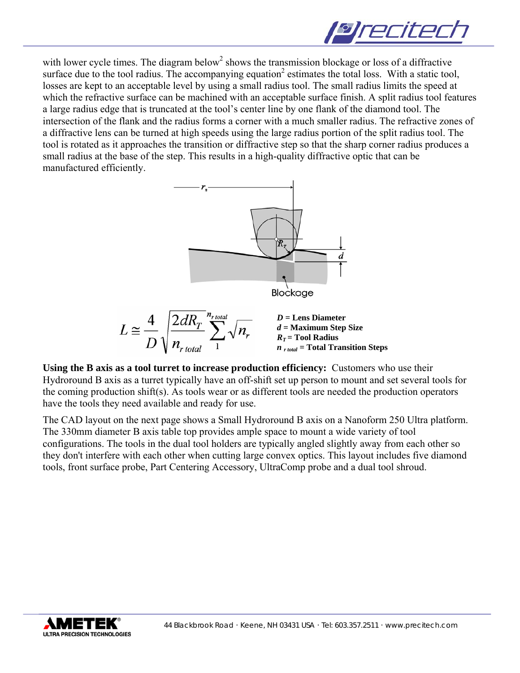

with lower cycle times. The diagram below<sup>2</sup> shows the transmission blockage or loss of a diffractive surface due to the tool radius. The accompanying equation<sup>2</sup> estimates the total loss. With a static tool, losses are kept to an acceptable level by using a small radius tool. The small radius limits the speed at which the refractive surface can be machined with an acceptable surface finish. A split radius tool features a large radius edge that is truncated at the tool's center line by one flank of the diamond tool. The intersection of the flank and the radius forms a corner with a much smaller radius. The refractive zones of a diffractive lens can be turned at high speeds using the large radius portion of the split radius tool. The tool is rotated as it approaches the transition or diffractive step so that the sharp corner radius produces a small radius at the base of the step. This results in a high-quality diffractive optic that can be manufactured efficiently.



**Using the B axis as a tool turret to increase production efficiency:** Customers who use their Hydroround B axis as a turret typically have an off-shift set up person to mount and set several tools for the coming production shift(s). As tools wear or as different tools are needed the production operators have the tools they need available and ready for use.

The CAD layout on the next page shows a Small Hydroround B axis on a Nanoform 250 Ultra platform. The 330mm diameter B axis table top provides ample space to mount a wide variety of tool configurations. The tools in the dual tool holders are typically angled slightly away from each other so they don't interfere with each other when cutting large convex optics. This layout includes five diamond tools, front surface probe, Part Centering Accessory, UltraComp probe and a dual tool shroud.

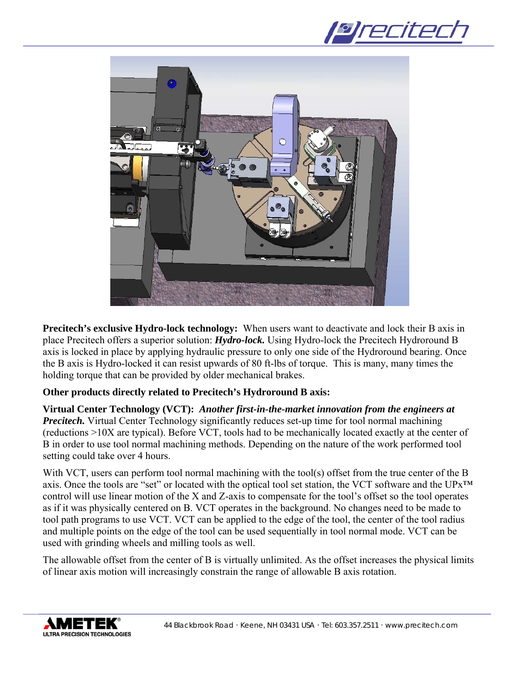



**Precitech's exclusive Hydro-lock technology:** When users want to deactivate and lock their B axis in place Precitech offers a superior solution: *Hydro-lock.* Using Hydro-lock the Precitech Hydroround B axis is locked in place by applying hydraulic pressure to only one side of the Hydroround bearing. Once the B axis is Hydro-locked it can resist upwards of 80 ft-lbs of torque. This is many, many times the holding torque that can be provided by older mechanical brakes.

### **Other products directly related to Precitech's Hydroround B axis:**

**Virtual Center Technology (VCT):** *Another first-in-the-market innovation from the engineers at Precitech.* Virtual Center Technology significantly reduces set-up time for tool normal machining (reductions >10X are typical). Before VCT, tools had to be mechanically located exactly at the center of B in order to use tool normal machining methods. Depending on the nature of the work performed tool setting could take over 4 hours.

With VCT, users can perform tool normal machining with the tool(s) offset from the true center of the B axis. Once the tools are "set" or located with the optical tool set station, the VCT software and the UPx™ control will use linear motion of the X and Z-axis to compensate for the tool's offset so the tool operates as if it was physically centered on B. VCT operates in the background. No changes need to be made to tool path programs to use VCT. VCT can be applied to the edge of the tool, the center of the tool radius and multiple points on the edge of the tool can be used sequentially in tool normal mode. VCT can be used with grinding wheels and milling tools as well.

The allowable offset from the center of B is virtually unlimited. As the offset increases the physical limits of linear axis motion will increasingly constrain the range of allowable B axis rotation.

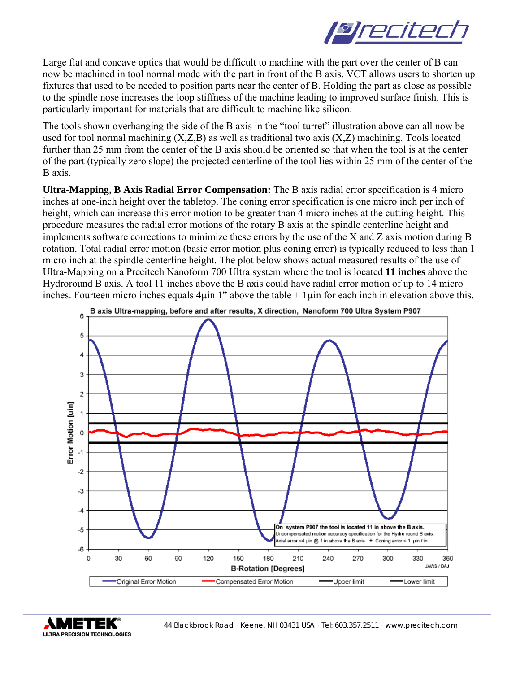

Large flat and concave optics that would be difficult to machine with the part over the center of B can now be machined in tool normal mode with the part in front of the B axis. VCT allows users to shorten up fixtures that used to be needed to position parts near the center of B. Holding the part as close as possible to the spindle nose increases the loop stiffness of the machine leading to improved surface finish. This is particularly important for materials that are difficult to machine like silicon.

The tools shown overhanging the side of the B axis in the "tool turret" illustration above can all now be used for tool normal machining (X,Z,B) as well as traditional two axis (X,Z) machining. Tools located further than 25 mm from the center of the B axis should be oriented so that when the tool is at the center of the part (typically zero slope) the projected centerline of the tool lies within 25 mm of the center of the B axis.

**Ultra-Mapping, B Axis Radial Error Compensation:** The B axis radial error specification is 4 micro inches at one-inch height over the tabletop. The coning error specification is one micro inch per inch of height, which can increase this error motion to be greater than 4 micro inches at the cutting height. This procedure measures the radial error motions of the rotary B axis at the spindle centerline height and implements software corrections to minimize these errors by the use of the X and Z axis motion during B rotation. Total radial error motion (basic error motion plus coning error) is typically reduced to less than 1 micro inch at the spindle centerline height. The plot below shows actual measured results of the use of Ultra-Mapping on a Precitech Nanoform 700 Ultra system where the tool is located **11 inches** above the Hydroround B axis. A tool 11 inches above the B axis could have radial error motion of up to 14 micro inches. Fourteen micro inches equals  $4\mu$ in 1" above the table + 1 $\mu$ in for each inch in elevation above this.